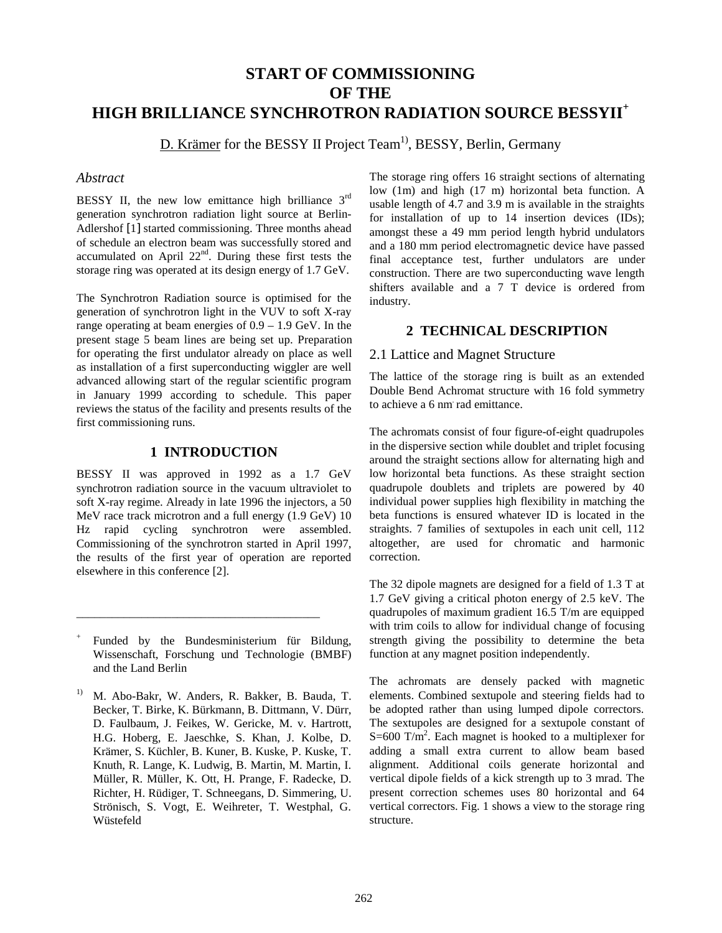# **START OF COMMISSIONING OF THE HIGH BRILLIANCE SYNCHROTRON RADIATION SOURCE BESSYII<sup>+</sup>**

D. Krämer for the BESSY II Project Team<sup>1)</sup>, BESSY, Berlin, Germany

#### *Abstract*

BESSY II, the new low emittance high brilliance 3<sup>rd</sup> generation synchrotron radiation light source at Berlin-Adlershof [1] started commissioning. Three months ahead of schedule an electron beam was successfully stored and accumulated on April  $22<sup>nd</sup>$ . During these first tests the storage ring was operated at its design energy of 1.7 GeV.

The Synchrotron Radiation source is optimised for the generation of synchrotron light in the VUV to soft X-ray range operating at beam energies of 0.9 – 1.9 GeV. In the present stage 5 beam lines are being set up. Preparation for operating the first undulator already on place as well as installation of a first superconducting wiggler are well advanced allowing start of the regular scientific program in January 1999 according to schedule. This paper reviews the status of the facility and presents results of the first commissioning runs.

### **1 INTRODUCTION**

BESSY II was approved in 1992 as a 1.7 GeV synchrotron radiation source in the vacuum ultraviolet to soft X-ray regime. Already in late 1996 the injectors, a 50 MeV race track microtron and a full energy (1.9 GeV) 10 Hz rapid cycling synchrotron were assembled. Commissioning of the synchrotron started in April 1997, the results of the first year of operation are reported elsewhere in this conference [2].

\_\_\_\_\_\_\_\_\_\_\_\_\_\_\_\_\_\_\_\_\_\_\_\_\_\_\_\_\_\_\_\_\_\_\_\_\_\_\_\_\_

The storage ring offers 16 straight sections of alternating low (1m) and high (17 m) horizontal beta function. A usable length of 4.7 and 3.9 m is available in the straights for installation of up to 14 insertion devices (IDs); amongst these a 49 mm period length hybrid undulators and a 180 mm period electromagnetic device have passed final acceptance test, further undulators are under construction. There are two superconducting wave length shifters available and a 7 T device is ordered from industry.

# **2 TECHNICAL DESCRIPTION**

#### 2.1 Lattice and Magnet Structure

The lattice of the storage ring is built as an extended Double Bend Achromat structure with 16 fold symmetry to achieve a 6 nm. rad emittance.

The achromats consist of four figure-of-eight quadrupoles in the dispersive section while doublet and triplet focusing around the straight sections allow for alternating high and low horizontal beta functions. As these straight section quadrupole doublets and triplets are powered by 40 individual power supplies high flexibility in matching the beta functions is ensured whatever ID is located in the straights. 7 families of sextupoles in each unit cell, 112 altogether, are used for chromatic and harmonic correction.

The 32 dipole magnets are designed for a field of 1.3 T at 1.7 GeV giving a critical photon energy of 2.5 keV. The quadrupoles of maximum gradient 16.5 T/m are equipped with trim coils to allow for individual change of focusing strength giving the possibility to determine the beta function at any magnet position independently.

The achromats are densely packed with magnetic elements. Combined sextupole and steering fields had to be adopted rather than using lumped dipole correctors. The sextupoles are designed for a sextupole constant of S=600 T/m<sup>2</sup>. Each magnet is hooked to a multiplexer for adding a small extra current to allow beam based alignment. Additional coils generate horizontal and vertical dipole fields of a kick strength up to 3 mrad. The present correction schemes uses 80 horizontal and 64 vertical correctors. Fig. 1 shows a view to the storage ring structure.

Funded by the Bundesministerium für Bildung, Wissenschaft, Forschung und Technologie (BMBF) and the Land Berlin

<sup>1)</sup> M. Abo-Bakr, W. Anders, R. Bakker, B. Bauda, T. Becker, T. Birke, K. Bürkmann, B. Dittmann, V. Dürr, D. Faulbaum, J. Feikes, W. Gericke, M. v. Hartrott, H.G. Hoberg, E. Jaeschke, S. Khan, J. Kolbe, D. Krämer, S. Küchler, B. Kuner, B. Kuske, P. Kuske, T. Knuth, R. Lange, K. Ludwig, B. Martin, M. Martin, I. Müller, R. Müller, K. Ott, H. Prange, F. Radecke, D. Richter, H. Rüdiger, T. Schneegans, D. Simmering, U. Strönisch, S. Vogt, E. Weihreter, T. Westphal, G. Wüstefeld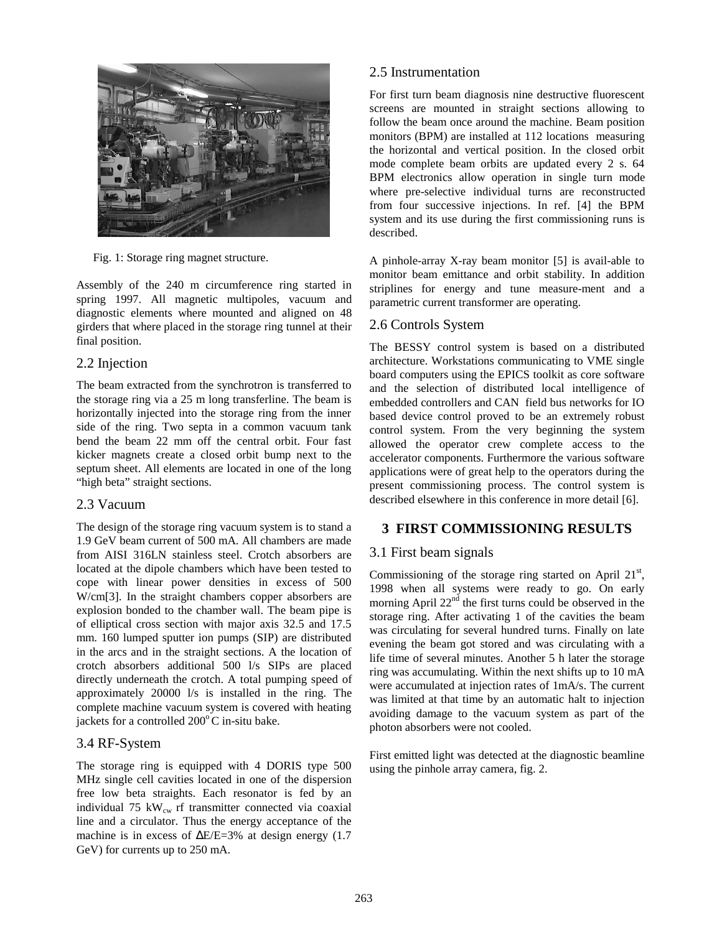

Fig. 1: Storage ring magnet structure.

Assembly of the 240 m circumference ring started in spring 1997. All magnetic multipoles, vacuum and diagnostic elements where mounted and aligned on 48 girders that where placed in the storage ring tunnel at their final position.

### 2.2 Injection

The beam extracted from the synchrotron is transferred to the storage ring via a 25 m long transferline. The beam is horizontally injected into the storage ring from the inner side of the ring. Two septa in a common vacuum tank bend the beam 22 mm off the central orbit. Four fast kicker magnets create a closed orbit bump next to the septum sheet. All elements are located in one of the long "high beta" straight sections.

### 2.3 Vacuum

The design of the storage ring vacuum system is to stand a 1.9 GeV beam current of 500 mA. All chambers are made from AISI 316LN stainless steel. Crotch absorbers are located at the dipole chambers which have been tested to cope with linear power densities in excess of 500 W/cm[3]. In the straight chambers copper absorbers are explosion bonded to the chamber wall. The beam pipe is of elliptical cross section with major axis 32.5 and 17.5 mm. 160 lumped sputter ion pumps (SIP) are distributed in the arcs and in the straight sections. A the location of crotch absorbers additional 500 l/s SIPs are placed directly underneath the crotch. A total pumping speed of approximately 20000 l/s is installed in the ring. The complete machine vacuum system is covered with heating jackets for a controlled  $200^{\circ}$ C in-situ bake.

### 3.4 RF-System

The storage ring is equipped with 4 DORIS type 500 MHz single cell cavities located in one of the dispersion free low beta straights. Each resonator is fed by an individual 75  $kW_{cw}$  rf transmitter connected via coaxial line and a circulator. Thus the energy acceptance of the machine is in excess of ∆E/E=3% at design energy (1.7 GeV) for currents up to 250 mA.

# 2.5 Instrumentation

For first turn beam diagnosis nine destructive fluorescent screens are mounted in straight sections allowing to follow the beam once around the machine. Beam position monitors (BPM) are installed at 112 locations measuring the horizontal and vertical position. In the closed orbit mode complete beam orbits are updated every 2 s. 64 BPM electronics allow operation in single turn mode where pre-selective individual turns are reconstructed from four successive injections. In ref. [4] the BPM system and its use during the first commissioning runs is described.

A pinhole-array X-ray beam monitor [5] is avail-able to monitor beam emittance and orbit stability. In addition striplines for energy and tune measure-ment and a parametric current transformer are operating.

### 2.6 Controls System

The BESSY control system is based on a distributed architecture. Workstations communicating to VME single board computers using the EPICS toolkit as core software and the selection of distributed local intelligence of embedded controllers and CAN field bus networks for IO based device control proved to be an extremely robust control system. From the very beginning the system allowed the operator crew complete access to the accelerator components. Furthermore the various software applications were of great help to the operators during the present commissioning process. The control system is described elsewhere in this conference in more detail [6].

## **3 FIRST COMMISSIONING RESULTS**

### 3.1 First beam signals

Commissioning of the storage ring started on April  $21<sup>st</sup>$ , 1998 when all systems were ready to go. On early morning April  $22<sup>nd</sup>$  the first turns could be observed in the storage ring. After activating 1 of the cavities the beam was circulating for several hundred turns. Finally on late evening the beam got stored and was circulating with a life time of several minutes. Another 5 h later the storage ring was accumulating. Within the next shifts up to 10 mA were accumulated at injection rates of 1mA/s. The current was limited at that time by an automatic halt to injection avoiding damage to the vacuum system as part of the photon absorbers were not cooled.

First emitted light was detected at the diagnostic beamline using the pinhole array camera, fig. 2.